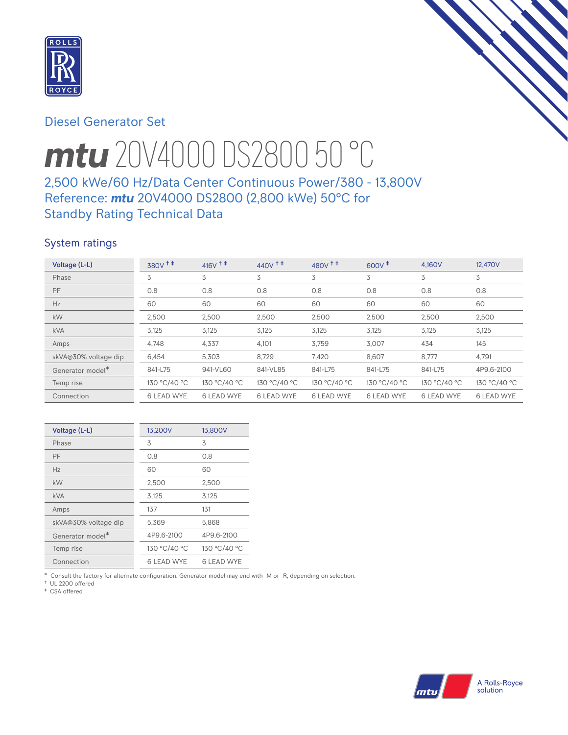

# Diesel Generator Set

# *mtu* 20V4000 DS2800 50 °C

# 2,500 kWe/60 Hz/Data Center Continuous Power/380 - 13,800V Reference: *mtu* 20V4000 DS2800 (2,800 kWe) 50°C for Standby Rating Technical Data

# System ratings

| Voltage (L-L)        | 380V <sup>+</sup> | 416 $V$ <sup>+ +</sup> | $440V$ <sup>++</sup> | 480 $V$ <sup><math>\ddagger</math></sup> $\ddagger$ | $600V^+$          | 4.160V            | 12,470V           |
|----------------------|-------------------|------------------------|----------------------|-----------------------------------------------------|-------------------|-------------------|-------------------|
| Phase                | 3                 | 3                      | 3                    | 3                                                   | 3                 | 3                 | 3                 |
| PF                   | 0.8               | 0.8                    | 0.8                  | 0.8                                                 | 0.8               | 0.8               | 0.8               |
| Hz                   | 60                | 60                     | 60                   | 60                                                  | 60                | 60                | 60                |
| kW                   | 2,500             | 2,500                  | 2,500                | 2,500                                               | 2,500             | 2,500             | 2,500             |
| <b>kVA</b>           | 3,125             | 3,125                  | 3,125                | 3,125                                               | 3,125             | 3,125             | 3,125             |
| Amps                 | 4,748             | 4,337                  | 4,101                | 3,759                                               | 3,007             | 434               | 145               |
| skVA@30% voltage dip | 6,454             | 5,303                  | 8,729                | 7,420                                               | 8,607             | 8,777             | 4,791             |
| Generator model*     | 841-L75           | 941-VL60               | 841-VL85             | 841-L75                                             | 841-L75           | 841-L75           | 4P9.6-2100        |
| Temp rise            | 130 °C/40 °C      | 130 °C/40 °C           | 130 °C/40 °C         | 130 °C/40 °C                                        | 130 °C/40 °C      | 130 °C/40 °C      | 130 °C/40 °C      |
| Connection           | <b>6 LEAD WYE</b> | <b>6 LEAD WYE</b>      | <b>6 LEAD WYE</b>    | <b>6 LEAD WYE</b>                                   | <b>6 LEAD WYE</b> | <b>6 LEAD WYE</b> | <b>6 LEAD WYE</b> |

| Voltage (L-L)                | 13,200V           | 13,800V      |
|------------------------------|-------------------|--------------|
| Phase                        | 3                 | 3            |
| PF                           | O 8               | 0.8          |
| Hz                           | 60                | 60           |
| kW                           | 2,500             | 2,500        |
| <b>kVA</b>                   | 3,125             | 3,125        |
| Amps                         | 137               | 131          |
| skVA@30% voltage dip         | 5,369             | 5,868        |
| Generator model <sup>*</sup> | 4P9.6-2100        | 4P9.6-2100   |
| Temp rise                    | 130 °C/40 °C      | 130 °C/40 °C |
| Connection                   | <b>6 LEAD WYE</b> | 6 LEAD WYE   |

\* Consult the factory for alternate configuration. Generator model may end with -M or -R, depending on selection.

† UL 2200 offered ‡ CSA offered

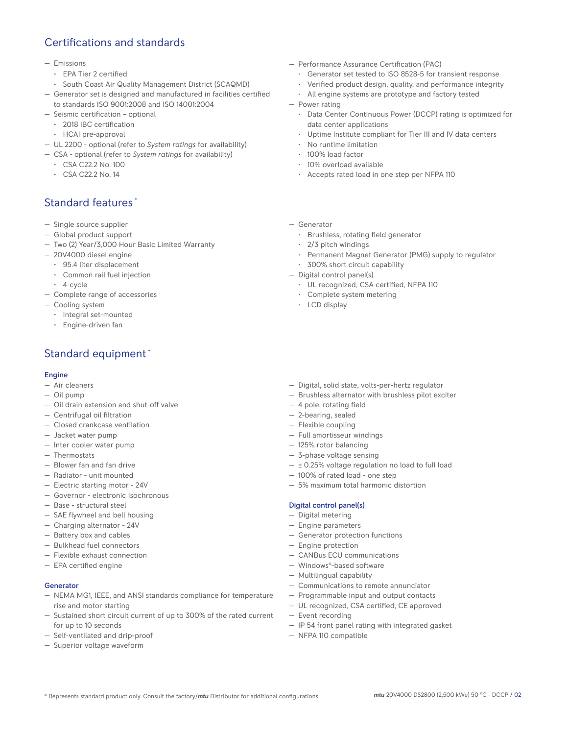# Certifications and standards

#### — Emissions

- EPA Tier 2 certified
- South Coast Air Quality Management District (SCAQMD)
- Generator set is designed and manufactured in facilities certified to standards ISO 9001:2008 and ISO 14001:2004
- Seismic certification optional
	- 2018 IBC certification
	- HCAI pre-approval
- UL 2200 optional (refer to *System ratings* for availability)
- CSA optional (refer to *System ratings* for availability)
	- CSA C22.2 No. 100
	- CSA C22.2 No. 14

# Standard features \*

- Single source supplier
- Global product support
- Two (2) Year/3,000 Hour Basic Limited Warranty
- 20V4000 diesel engine
	- 95.4 liter displacement
	- Common rail fuel injection
	- 4-cycle
- Complete range of accessories
- Cooling system
	- Integral set-mounted
	- Engine-driven fan

# Standard equipment \*

#### Engine

- Air cleaners
- Oil pump
- Oil drain extension and shut-off valve
- Centrifugal oil filtration
- Closed crankcase ventilation
- Jacket water pump
- Inter cooler water pump
- Thermostats
- Blower fan and fan drive
- Radiator unit mounted
- Electric starting motor 24V
- Governor electronic Isochronous
- Base structural steel
- SAE flywheel and bell housing
- Charging alternator 24V
- Battery box and cables
- Bulkhead fuel connectors
- Flexible exhaust connection
- EPA certified engine

## Generator

- NEMA MG1, IEEE, and ANSI standards compliance for temperature rise and motor starting
- Sustained short circuit current of up to 300% of the rated current for up to 10 seconds
- Self-ventilated and drip-proof
- Superior voltage waveform
- Performance Assurance Certification (PAC)
	- Generator set tested to ISO 8528-5 for transient response
	- Verified product design, quality, and performance integrity
	- All engine systems are prototype and factory tested
- Power rating
	- Data Center Continuous Power (DCCP) rating is optimized for data center applications
	- Uptime Institute compliant for Tier III and IV data centers
	- No runtime limitation
	- 100% load factor
	- 10% overload available
	- Accepts rated load in one step per NFPA 110
- Generator
	- Brushless, rotating field generator
	- 2/3 pitch windings
	- Permanent Magnet Generator (PMG) supply to regulator
	- 300% short circuit capability
- Digital control panel(s)
	- UL recognized, CSA certified, NFPA 110
	- Complete system metering
	- LCD display
- Digital, solid state, volts-per-hertz regulator
- Brushless alternator with brushless pilot exciter
- 4 pole, rotating field
- 2-bearing, sealed
- Flexible coupling
- Full amortisseur windings
- 125% rotor balancing
- 3-phase voltage sensing
- $\pm$  0.25% voltage regulation no load to full load
- 100% of rated load one step
- 5% maximum total harmonic distortion

#### Digital control panel(s)

- Digital metering
- Engine parameters
- Generator protection functions
- Engine protection
- CANBus ECU communications
- Windows®-based software
- Multilingual capability
- Communications to remote annunciator
- Programmable input and output contacts
- UL recognized, CSA certified, CE approved
- Event recording
- IP 54 front panel rating with integrated gasket
- NFPA 110 compatible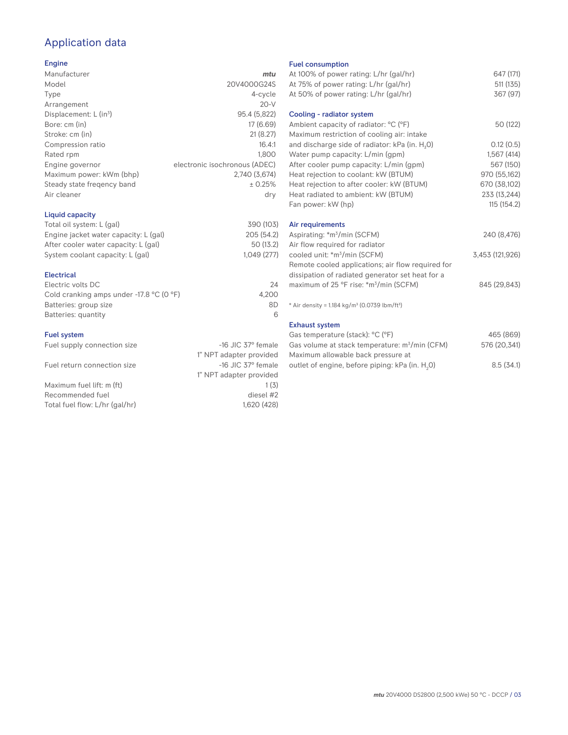# Application data

## Engine

| Manufacturer                         | mtu                           |
|--------------------------------------|-------------------------------|
| Model                                | 20V4000G24S                   |
| Type                                 | 4-cycle                       |
| Arrangement                          | $20-V$                        |
| Displacement: $L$ (in <sup>3</sup> ) | 95.4 (5,822)                  |
| Bore: cm (in)                        | 17 (6.69)                     |
| Stroke: cm (in)                      | 21(8.27)                      |
| Compression ratio                    | 16.4:1                        |
| Rated rpm                            | 1.800                         |
| Engine governor                      | electronic isochronous (ADEC) |
| Maximum power: kWm (bhp)             | 2.740 (3.674)                 |
| Steady state freqency band           | ± 0.25%                       |
| Air cleaner                          | dry                           |
|                                      |                               |

## Liquid capacity

| Total oil system: L (gal)             | 390 (103)  |
|---------------------------------------|------------|
| Engine jacket water capacity: L (gal) | 205 (54.2) |
| After cooler water capacity: L (gal)  | 50 (13.2)  |
| System coolant capacity: L (gal)      | 1.049(277) |
|                                       |            |

### Electrical

| Electric volts DC                                            | 24    |
|--------------------------------------------------------------|-------|
| Cold cranking amps under -17.8 $^{\circ}$ C (O $^{\circ}$ F) | 4.200 |
| Batteries: group size                                        | 8D    |
| Batteries: quantity                                          | 6     |

## Fuel system

| $-16$ JIC 37 $\degree$ female |
|-------------------------------|
| 1" NPT adapter provided       |
| $-16$ JIC 37 $\degree$ female |
| 1" NPT adapter provided       |
| 1(3)                          |
| diesel #2                     |
| 1.620 (428)                   |
|                               |

#### Fuel consumption

| At 100% of power rating: L/hr (gal/hr)<br>At 75% of power rating: L/hr (gal/hr)                       | 647 (171)<br>511 (135) |
|-------------------------------------------------------------------------------------------------------|------------------------|
| At 50% of power rating: L/hr (gal/hr)                                                                 | 367 (97)               |
| Cooling - radiator system                                                                             |                        |
| Ambient capacity of radiator: °C (°F)<br>Maximum restriction of cooling air: intake                   | 50 (122)               |
| and discharge side of radiator: kPa (in. H <sub>2</sub> O)                                            | 0.12(0.5)              |
| Water pump capacity: L/min (gpm)                                                                      | 1,567(414)             |
| After cooler pump capacity: L/min (gpm)                                                               | 567 (150)              |
| Heat rejection to coolant: kW (BTUM)                                                                  | 970 (55,162)           |
| Heat rejection to after cooler: kW (BTUM)                                                             | 670 (38,102)           |
| Heat radiated to ambient: kW (BTUM)                                                                   | 233 (13,244)           |
| Fan power: kW (hp)                                                                                    | 115(154.2)             |
| Air requirements                                                                                      |                        |
| Aspirating: *m <sup>3</sup> /min (SCFM)<br>Air flow required for radiator                             | 240 (8,476)            |
| cooled unit: *m <sup>3</sup> /min (SCFM)                                                              | 3,453 (121,926)        |
| Remote cooled applications; air flow required for<br>dissipation of radiated generator set heat for a |                        |
| maximum of 25 °F rise: *m <sup>3</sup> /min (SCFM)                                                    | 845 (29,843)           |
| * Air density = 1.184 kg/m <sup>3</sup> (0.0739 lbm/ft <sup>3</sup> )                                 |                        |
| <b>Exhaust system</b>                                                                                 |                        |
| Gas temperature (stack): °C (°F)                                                                      | 465 (869)              |
| Gas volume at stack temperature: m <sup>3</sup> /min (CFM)                                            | 576 (20,341)           |

| Maximum allowable back pressure at                          |           |
|-------------------------------------------------------------|-----------|
| outlet of engine, before piping: kPa (in. H <sub>2</sub> 0) | 8.5(34.1) |